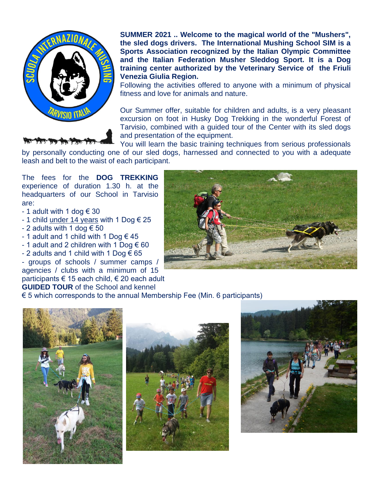

**SUMMER 2021 .. Welcome to the magical world of the "Mushers", the sled dogs drivers. The International Mushing School SIM is a Sports Association recognized by the Italian Olympic Committee and the Italian Federation Musher Sleddog Sport. It is a Dog training center authorized by the Veterinary Service of the Friuli Venezia Giulia Region.**

Following the activities offered to anyone with a minimum of physical fitness and love for animals and nature.

Our Summer offer, suitable for children and adults, is a very pleasant excursion on foot in Husky Dog Trekking in the wonderful Forest of Tarvisio, combined with a guided tour of the Center with its sled dogs and presentation of the equipment.

You will learn the basic training techniques from serious professionals

by personally conducting one of our sled dogs, harnessed and connected to you with a adequate leash and belt to the waist of each participant.

The fees for the **DOG TREKKING** experience of duration 1.30 h. at the headquarters of our School in Tarvisio are:

- 1 adult with 1 dog  $\in$  30
- 1 child under 14 years with 1 Dog  $\epsilon$  25
- 2 adults with 1 dog  $\epsilon$  50
- 1 adult and 1 child with 1 Dog  $\epsilon$  45
- 1 adult and 2 children with 1 Dog  $\epsilon$  60

- 2 adults and 1 child with 1 Dog  $\epsilon$  65 - groups of schools / summer camps / agencies / clubs with a minimum of 15 participants € 15 each child, € 20 each adult **GUIDED TOUR** of the School and kennel

 $\epsilon$  5 which corresponds to the annual Membership Fee (Min. 6 participants)